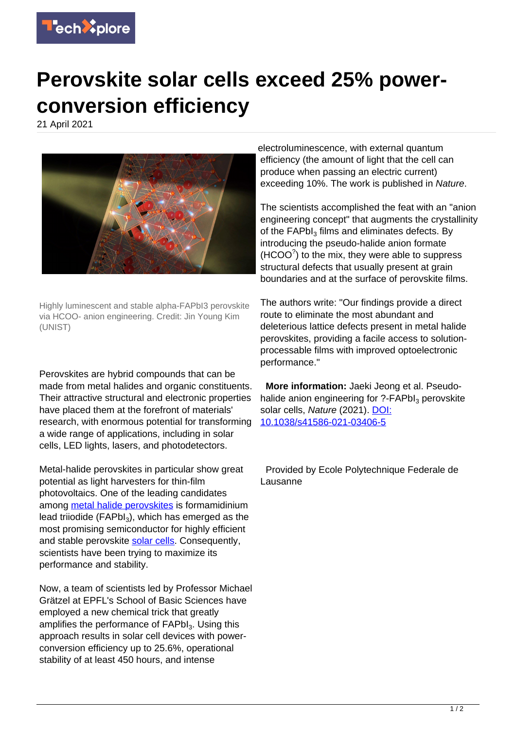

## **Perovskite solar cells exceed 25% powerconversion efficiency**

21 April 2021



Highly luminescent and stable alpha-FAPbI3 perovskite via HCOO- anion engineering. Credit: Jin Young Kim (UNIST)

Perovskites are hybrid compounds that can be made from metal halides and organic constituents. Their attractive structural and electronic properties have placed them at the forefront of materials' research, with enormous potential for transforming a wide range of applications, including in solar cells, LED lights, lasers, and photodetectors.

Metal-halide perovskites in particular show great potential as light harvesters for thin-film photovoltaics. One of the leading candidates among [metal halide perovskites](https://techxplore.com/tags/metal+halide+perovskites/) is formamidinium lead triiodide (FAPbI $_3$ ), which has emerged as the most promising semiconductor for highly efficient and stable perovskite [solar cells](https://techxplore.com/tags/solar+cells/). Consequently, scientists have been trying to maximize its performance and stability.

Now, a team of scientists led by Professor Michael Grätzel at EPFL's School of Basic Sciences have employed a new chemical trick that greatly amplifies the performance of  $\mathsf{FAPbl}_3$ . Using this approach results in solar cell devices with powerconversion efficiency up to 25.6%, operational stability of at least 450 hours, and intense

electroluminescence, with external quantum efficiency (the amount of light that the cell can produce when passing an electric current) exceeding 10%. The work is published in Nature.

The scientists accomplished the feat with an "anion engineering concept" that augments the crystallinity of the  $\mathsf{FAPbl}_3$  films and eliminates defects. By introducing the pseudo-halide anion formate  $(HCOO<sup>2</sup>)$  to the mix, they were able to suppress structural defects that usually present at grain boundaries and at the surface of perovskite films.

The authors write: "Our findings provide a direct route to eliminate the most abundant and deleterious lattice defects present in metal halide perovskites, providing a facile access to solutionprocessable films with improved optoelectronic performance."

 **More information:** Jaeki Jeong et al. Pseudohalide anion engineering for ?-FAPbI $_3$  perovskite solar cells, Nature (2021). [DOI:](http://dx.doi.org/10.1038/s41586-021-03406-5) [10.1038/s41586-021-03406-5](http://dx.doi.org/10.1038/s41586-021-03406-5)

 Provided by Ecole Polytechnique Federale de Lausanne